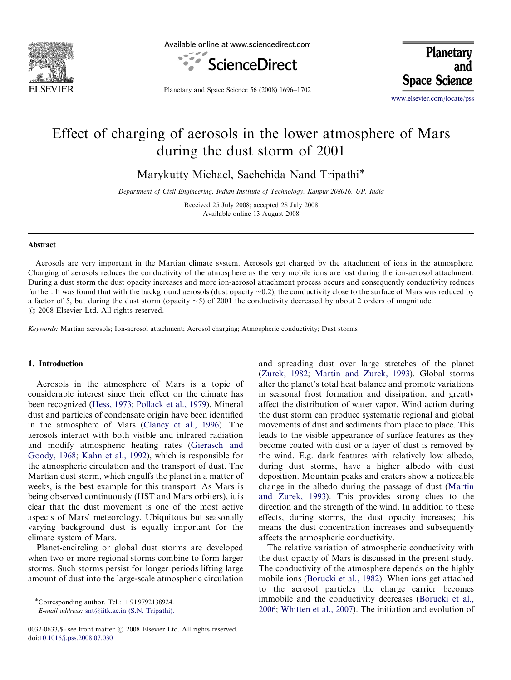

Available online at www.sciencedirect.com



Planetary **Space Science** 

Planetary and Space Science 56 (2008) 1696–1702

<www.elsevier.com/locate/pss>

# Effect of charging of aerosols in the lower atmosphere of Mars during the dust storm of 2001

Marykutty Michael, Sachchida Nand Tripathi\*

Department of Civil Engineering, Indian Institute of Technology, Kanpur 208016, UP, India

Received 25 July 2008; accepted 28 July 2008 Available online 13 August 2008

## Abstract

Aerosols are very important in the Martian climate system. Aerosols get charged by the attachment of ions in the atmosphere. Charging of aerosols reduces the conductivity of the atmosphere as the very mobile ions are lost during the ion-aerosol attachment. During a dust storm the dust opacity increases and more ion-aerosol attachment process occurs and consequently conductivity reduces further. It was found that with the background aerosols (dust opacity ~0.2), the conductivity close to the surface of Mars was reduced by a factor of 5, but during the dust storm (opacity  $\sim$  5) of 2001 the conductivity decreased by about 2 orders of magnitude.  $C$  2008 Elsevier Ltd. All rights reserved.

Keywords: Martian aerosols; Ion-aerosol attachment; Aerosol charging; Atmospheric conductivity; Dust storms

## 1. Introduction

Aerosols in the atmosphere of Mars is a topic of considerable interest since their effect on the climate has been recognized [\(Hess, 1973](#page-5-0); [Pollack et al., 1979\)](#page-6-0). Mineral dust and particles of condensate origin have been identified in the atmosphere of Mars [\(Clancy et al., 1996](#page-5-0)). The aerosols interact with both visible and infrared radiation and modify atmospheric heating rates ([Gierasch and](#page-5-0) [Goody, 1968;](#page-5-0) [Kahn et al., 1992\)](#page-6-0), which is responsible for the atmospheric circulation and the transport of dust. The Martian dust storm, which engulfs the planet in a matter of weeks, is the best example for this transport. As Mars is being observed continuously (HST and Mars orbiters), it is clear that the dust movement is one of the most active aspects of Mars' meteorology. Ubiquitous but seasonally varying background dust is equally important for the climate system of Mars.

Planet-encircling or global dust storms are developed when two or more regional storms combine to form larger storms. Such storms persist for longer periods lifting large amount of dust into the large-scale atmospheric circulation

E-mail address: [snt@iitk.ac.in \(S.N. Tripathi\).](mailto:snt@iitk.ac.in)

0032-0633/\$ - see front matter © 2008 Elsevier Ltd. All rights reserved. doi:[10.1016/j.pss.2008.07.030](dx.doi.org/10.1016/j.pss.2008.07.030)

and spreading dust over large stretches of the planet [\(Zurek, 1982;](#page-6-0) [Martin and Zurek, 1993\)](#page-6-0). Global storms alter the planet's total heat balance and promote variations in seasonal frost formation and dissipation, and greatly affect the distribution of water vapor. Wind action during the dust storm can produce systematic regional and global movements of dust and sediments from place to place. This leads to the visible appearance of surface features as they become coated with dust or a layer of dust is removed by the wind. E.g. dark features with relatively low albedo, during dust storms, have a higher albedo with dust deposition. Mountain peaks and craters show a noticeable change in the albedo during the passage of dust [\(Martin](#page-6-0) [and Zurek, 1993](#page-6-0)). This provides strong clues to the direction and the strength of the wind. In addition to these effects, during storms, the dust opacity increases; this means the dust concentration increases and subsequently affects the atmospheric conductivity.

The relative variation of atmospheric conductivity with the dust opacity of Mars is discussed in the present study. The conductivity of the atmosphere depends on the highly mobile ions ([Borucki et al., 1982](#page-5-0)). When ions get attached to the aerosol particles the charge carrier becomes immobile and the conductivity decreases ([Borucki et al.,](#page-5-0) [2006;](#page-5-0) [Whitten et al., 2007\)](#page-6-0). The initiation and evolution of

<sup>-</sup>Corresponding author. Tel.: +91 9792138924.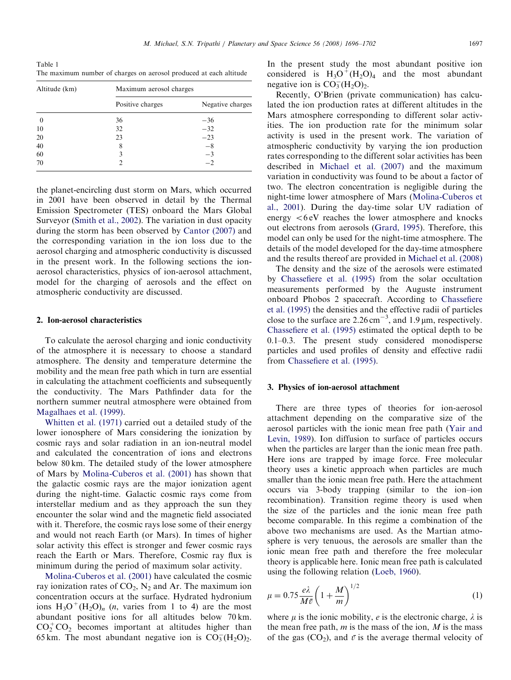<span id="page-1-0"></span>Table 1 The maximum number of charges on aerosol produced at each altitude

| Altitude (km) | Maximum aerosol charges |                  |
|---------------|-------------------------|------------------|
|               | Positive charges        | Negative charges |
| $\theta$      | 36                      | $-36$            |
| 10            | 32                      | $-32$            |
| 20            | 23                      | $-23$            |
| 40            | 8                       | $-8$             |
| 60            | 3                       | $-3$             |
| 70            |                         | -2               |

the planet-encircling dust storm on Mars, which occurred in 2001 have been observed in detail by the Thermal Emission Spectrometer (TES) onboard the Mars Global Surveyor [\(Smith et al., 2002](#page-6-0)). The variation in dust opacity during the storm has been observed by [Cantor \(2007\)](#page-5-0) and the corresponding variation in the ion loss due to the aerosol charging and atmospheric conductivity is discussed in the present work. In the following sections the ionaerosol characteristics, physics of ion-aerosol attachment, model for the charging of aerosols and the effect on atmospheric conductivity are discussed.

# 2. Ion-aerosol characteristics

To calculate the aerosol charging and ionic conductivity of the atmosphere it is necessary to choose a standard atmosphere. The density and temperature determine the mobility and the mean free path which in turn are essential in calculating the attachment coefficients and subsequently the conductivity. The Mars Pathfinder data for the northern summer neutral atmosphere were obtained from [Magalhaes et al. \(1999\)](#page-6-0).

[Whitten et al. \(1971\)](#page-6-0) carried out a detailed study of the lower ionosphere of Mars considering the ionization by cosmic rays and solar radiation in an ion-neutral model and calculated the concentration of ions and electrons below 80 km. The detailed study of the lower atmosphere of Mars by [Molina-Cuberos et al. \(2001\)](#page-6-0) has shown that the galactic cosmic rays are the major ionization agent during the night-time. Galactic cosmic rays come from interstellar medium and as they approach the sun they encounter the solar wind and the magnetic field associated with it. Therefore, the cosmic rays lose some of their energy and would not reach Earth (or Mars). In times of higher solar activity this effect is stronger and fewer cosmic rays reach the Earth or Mars. Therefore, Cosmic ray flux is minimum during the period of maximum solar activity.

[Molina-Cuberos et al. \(2001\)](#page-6-0) have calculated the cosmic ray ionization rates of  $CO<sub>2</sub>$ , N<sub>2</sub> and Ar. The maximum ion concentration occurs at the surface. Hydrated hydronium ions  $H_3O^+(H_2O)_n$  (*n*, varies from 1 to 4) are the most abundant positive ions for all altitudes below 70 km.  $CO_2^+CO_2$  becomes important at altitudes higher than 65 km. The most abundant negative ion is  $CO_3^-(H_2O)_2$ .

In the present study the most abundant positive ion considered is  $H_3O^+(H_2O)_4$  and the most abundant negative ion is  $CO_3^-(H_2O)_2$ .

Recently, O'Brien (private communication) has calculated the ion production rates at different altitudes in the Mars atmosphere corresponding to different solar activities. The ion production rate for the minimum solar activity is used in the present work. The variation of atmospheric conductivity by varying the ion production rates corresponding to the different solar activities has been described in [Michael et al. \(2007\)](#page-6-0) and the maximum variation in conductivity was found to be about a factor of two. The electron concentration is negligible during the night-time lower atmosphere of Mars ([Molina-Cuberos et](#page-6-0) [al., 2001](#page-6-0)). During the day-time solar UV radiation of energy  $<6$  eV reaches the lower atmosphere and knocks out electrons from aerosols ([Grard, 1995](#page-5-0)). Therefore, this model can only be used for the night-time atmosphere. The details of the model developed for the day-time atmosphere and the results thereof are provided in [Michael et al. \(2008\)](#page-6-0)

The density and the size of the aerosols were estimated by [Chassefiere et al. \(1995\)](#page-5-0) from the solar occultation measurements performed by the Auguste instrument onboard Phobos 2 spacecraft. According to [Chassefiere](#page-5-0) [et al. \(1995\)](#page-5-0) the densities and the effective radii of particles close to the surface are  $2.26 \text{ cm}^{-3}$ , and  $1.9 \text{ µm}$ , respectively. [Chassefiere et al. \(1995\)](#page-5-0) estimated the optical depth to be 0.1–0.3. The present study considered monodisperse particles and used profiles of density and effective radii from [Chassefiere et al. \(1995\)](#page-5-0).

# 3. Physics of ion-aerosol attachment

There are three types of theories for ion-aerosol attachment depending on the comparative size of the aerosol particles with the ionic mean free path [\(Yair and](#page-6-0) [Levin, 1989\)](#page-6-0). Ion diffusion to surface of particles occurs when the particles are larger than the ionic mean free path. Here ions are trapped by image force. Free molecular theory uses a kinetic approach when particles are much smaller than the ionic mean free path. Here the attachment occurs via 3-body trapping (similar to the ion–ion recombination). Transition regime theory is used when the size of the particles and the ionic mean free path become comparable. In this regime a combination of the above two mechanisms are used. As the Martian atmosphere is very tenuous, the aerosols are smaller than the ionic mean free path and therefore the free molecular theory is applicable here. Ionic mean free path is calculated using the following relation ([Loeb, 1960](#page-6-0)).

$$
\mu = 0.75 \frac{e\lambda}{M\bar{v}} \left( 1 + \frac{M}{m} \right)^{1/2} \tag{1}
$$

where  $\mu$  is the ionic mobility, *e* is the electronic charge,  $\lambda$  is the mean free path,  $m$  is the mass of the ion,  $M$  is the mass of the gas (CO<sub>2</sub>), and  $\bar{v}$  is the average thermal velocity of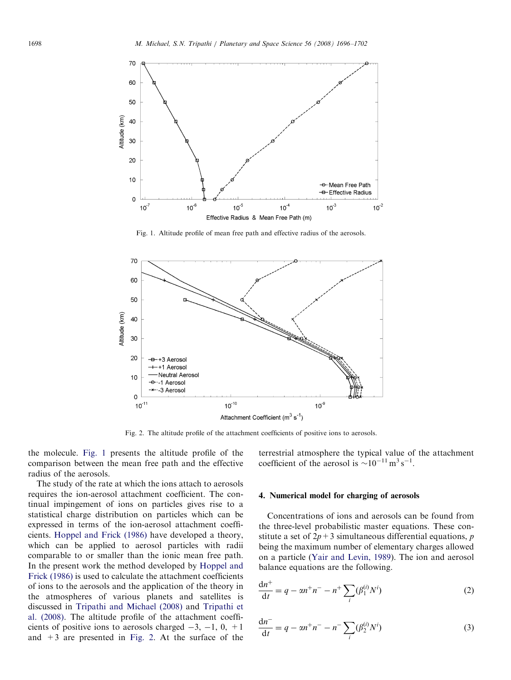

Fig. 1. Altitude profile of mean free path and effective radius of the aerosols.



Fig. 2. The altitude profile of the attachment coefficients of positive ions to aerosols.

the molecule. Fig. 1 presents the altitude profile of the comparison between the mean free path and the effective radius of the aerosols.

The study of the rate at which the ions attach to aerosols requires the ion-aerosol attachment coefficient. The continual impingement of ions on particles gives rise to a statistical charge distribution on particles which can be expressed in terms of the ion-aerosol attachment coefficients. [Hoppel and Frick \(1986\)](#page-5-0) have developed a theory, which can be applied to aerosol particles with radii comparable to or smaller than the ionic mean free path. In the present work the method developed by [Hoppel and](#page-5-0) [Frick \(1986\)](#page-5-0) is used to calculate the attachment coefficients of ions to the aerosols and the application of the theory in the atmospheres of various planets and satellites is discussed in [Tripathi and Michael \(2008\)](#page-6-0) and [Tripathi et](#page-6-0) [al. \(2008\).](#page-6-0) The altitude profile of the attachment coefficients of positive ions to aerosols charged  $-3$ ,  $-1$ , 0,  $+1$ and  $+3$  are presented in Fig. 2. At the surface of the terrestrial atmosphere the typical value of the attachment coefficient of the aerosol is  $\sim 10^{-11}$  m<sup>3</sup> s<sup>-1</sup>.

## 4. Numerical model for charging of aerosols

Concentrations of ions and aerosols can be found from the three-level probabilistic master equations. These constitute a set of  $2p+3$  simultaneous differential equations, p being the maximum number of elementary charges allowed on a particle [\(Yair and Levin, 1989\)](#page-6-0). The ion and aerosol balance equations are the following.

$$
\frac{dn^{+}}{dt} = q - \alpha n^{+} n^{-} - n^{+} \sum_{i} (\beta_1^{(i)} N^{i})
$$
 (2)

$$
\frac{dn^{-}}{dt} = q - \alpha n^{+} n^{-} - n^{-} \sum_{i} (\beta_2^{(i)} N^{i})
$$
\n(3)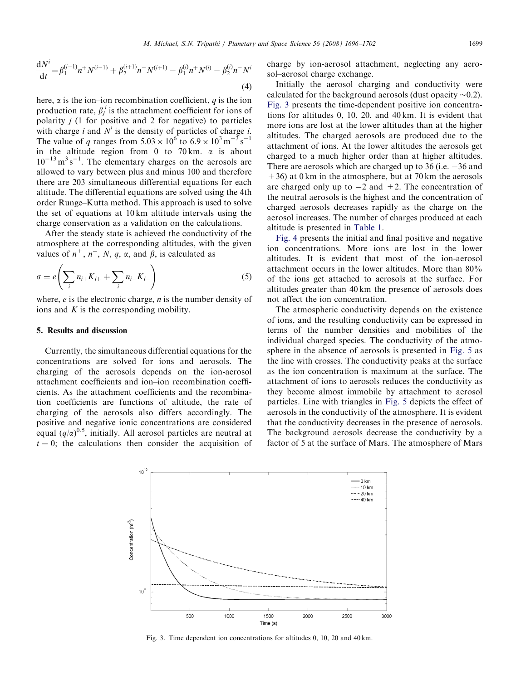$$
\frac{dN^{i}}{dt} = \beta_1^{(i-1)}n + N^{(i-1)} + \beta_2^{(i+1)}n - N^{(i+1)} - \beta_1^{(i)}n + N^{(i)} - \beta_2^{(i)}n - N^{i}
$$
\n(4)

here,  $\alpha$  is the ion–ion recombination coefficient,  $q$  is the ion production rate,  $\beta_j^i$  is the attachment coefficient for ions of polarity  $j$  (1 for positive and 2 for negative) to particles with charge i and  $N^i$  is the density of particles of charge i. The value of q ranges from  $5.03 \times 10^6$  to  $6.9 \times 10^3$  m<sup>-3</sup> s<sup>-1</sup> in the altitude region from 0 to 70 km.  $\alpha$  is about  $10^{-13}$  m<sup>3</sup> s<sup>-1</sup>. The elementary charges on the aerosols are allowed to vary between plus and minus 100 and therefore there are 203 simultaneous differential equations for each altitude. The differential equations are solved using the 4th order Runge–Kutta method. This approach is used to solve the set of equations at 10 km altitude intervals using the charge conservation as a validation on the calculations.

After the steady state is achieved the conductivity of the atmosphere at the corresponding altitudes, with the given values of  $n^+$ ,  $n^-$ , N, q,  $\alpha$ , and  $\beta$ , is calculated as

$$
\sigma = e\left(\sum_{i} n_{i+}K_{i+} + \sum_{i} n_{i-}K_{i-}\right)
$$
\n(5)

where,  $e$  is the electronic charge,  $n$  is the number density of ions and  $K$  is the corresponding mobility.

#### 5. Results and discussion

Currently, the simultaneous differential equations for the concentrations are solved for ions and aerosols. The charging of the aerosols depends on the ion-aerosol attachment coefficients and ion–ion recombination coefficients. As the attachment coefficients and the recombination coefficients are functions of altitude, the rate of charging of the aerosols also differs accordingly. The positive and negative ionic concentrations are considered equal  $(q/\alpha)^{0.5}$ , initially. All aerosol particles are neutral at  $t = 0$ ; the calculations then consider the acquisition of charge by ion-aerosol attachment, neglecting any aerosol–aerosol charge exchange.

Initially the aerosol charging and conductivity were calculated for the background aerosols (dust opacity  $\sim$ 0.2). Fig. 3 presents the time-dependent positive ion concentrations for altitudes 0, 10, 20, and 40 km. It is evident that more ions are lost at the lower altitudes than at the higher altitudes. The charged aerosols are produced due to the attachment of ions. At the lower altitudes the aerosols get charged to a much higher order than at higher altitudes. There are aerosols which are charged up to 36 (i.e.  $-36$  and  $+36$ ) at 0 km in the atmosphere, but at 70 km the aerosols are charged only up to  $-2$  and  $+2$ . The concentration of the neutral aerosols is the highest and the concentration of charged aerosols decreases rapidly as the charge on the aerosol increases. The number of charges produced at each altitude is presented in [Table 1](#page-1-0).

[Fig. 4](#page-4-0) presents the initial and final positive and negative ion concentrations. More ions are lost in the lower altitudes. It is evident that most of the ion-aerosol attachment occurs in the lower altitudes. More than 80% of the ions get attached to aerosols at the surface. For altitudes greater than 40 km the presence of aerosols does not affect the ion concentration.

The atmospheric conductivity depends on the existence of ions, and the resulting conductivity can be expressed in terms of the number densities and mobilities of the individual charged species. The conductivity of the atmosphere in the absence of aerosols is presented in [Fig. 5](#page-4-0) as the line with crosses. The conductivity peaks at the surface as the ion concentration is maximum at the surface. The attachment of ions to aerosols reduces the conductivity as they become almost immobile by attachment to aerosol particles. Line with triangles in [Fig. 5](#page-4-0) depicts the effect of aerosols in the conductivity of the atmosphere. It is evident that the conductivity decreases in the presence of aerosols. The background aerosols decrease the conductivity by a factor of 5 at the surface of Mars. The atmosphere of Mars



Fig. 3. Time dependent ion concentrations for altitudes 0, 10, 20 and 40 km.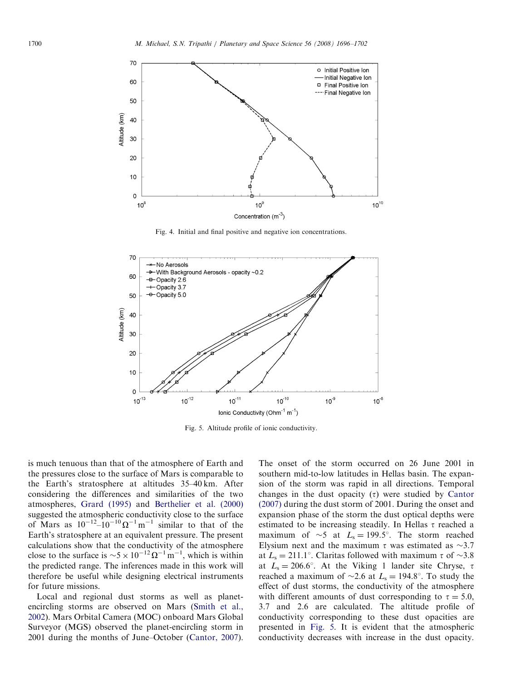<span id="page-4-0"></span>

Fig. 4. Initial and final positive and negative ion concentrations.



Fig. 5. Altitude profile of ionic conductivity.

is much tenuous than that of the atmosphere of Earth and the pressures close to the surface of Mars is comparable to the Earth's stratosphere at altitudes 35–40 km. After considering the differences and similarities of the two atmospheres, [Grard \(1995\)](#page-5-0) and [Berthelier et al. \(2000\)](#page-5-0) suggested the atmospheric conductivity close to the surface of Mars as  $10^{-12} - 10^{-10} \Omega^{-1}$  m<sup>-1</sup> similar to that of the Earth's stratosphere at an equivalent pressure. The present calculations show that the conductivity of the atmosphere close to the surface is  $\sim 5 \times 10^{-12} \Omega^{-1} \text{ m}^{-1}$ , which is within the predicted range. The inferences made in this work will therefore be useful while designing electrical instruments for future missions.

Local and regional dust storms as well as planetencircling storms are observed on Mars ([Smith et al.,](#page-6-0) [2002\)](#page-6-0). Mars Orbital Camera (MOC) onboard Mars Global Surveyor (MGS) observed the planet-encircling storm in 2001 during the months of June–October ([Cantor, 2007\)](#page-5-0). The onset of the storm occurred on 26 June 2001 in southern mid-to-low latitudes in Hellas basin. The expansion of the storm was rapid in all directions. Temporal changes in the dust opacity  $(\tau)$  were studied by [Cantor](#page-5-0) [\(2007\)](#page-5-0) during the dust storm of 2001. During the onset and expansion phase of the storm the dust optical depths were estimated to be increasing steadily. In Hellas  $\tau$  reached a maximum of  $\sim$ 5 at  $L_s = 199.5^\circ$ . The storm reached Elysium next and the maximum  $\tau$  was estimated as  $\sim$ 3.7 at  $L_s = 211.1^\circ$ . Claritas followed with maximum  $\tau$  of  $\sim 3.8$ at  $L_s = 206.6^\circ$ . At the Viking 1 lander site Chryse,  $\tau$ reached a maximum of  $\sim$ 2.6 at  $L_s = 194.8^\circ$ . To study the effect of dust storms, the conductivity of the atmosphere with different amounts of dust corresponding to  $\tau = 5.0$ , 3.7 and 2.6 are calculated. The altitude profile of conductivity corresponding to these dust opacities are presented in Fig. 5. It is evident that the atmospheric conductivity decreases with increase in the dust opacity.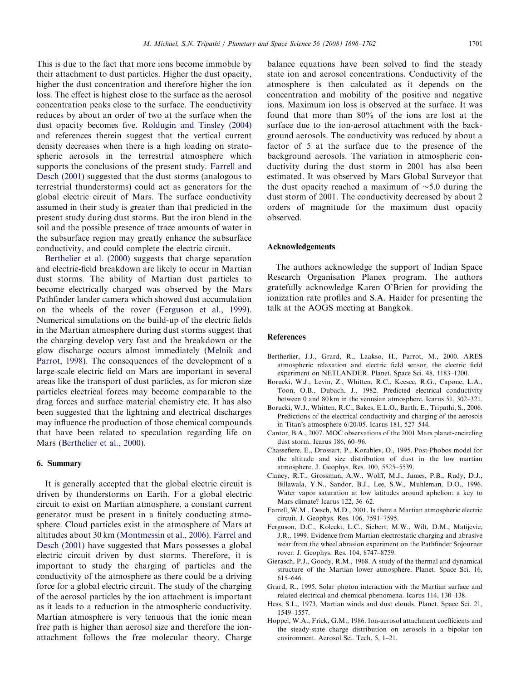<span id="page-5-0"></span>This is due to the fact that more ions become immobile by their attachment to dust particles. Higher the dust opacity, higher the dust concentration and therefore higher the ion loss. The effect is highest close to the surface as the aerosol concentration peaks close to the surface. The conductivity reduces by about an order of two at the surface when the dust opacity becomes five. [Roldugin and Tinsley \(2004\)](#page-6-0) and references therein suggest that the vertical current density decreases when there is a high loading on stratospheric aerosols in the terrestrial atmosphere which supports the conclusions of the present study. Farrell and Desch (2001) suggested that the dust storms (analogous to terrestrial thunderstorms) could act as generators for the global electric circuit of Mars. The surface conductivity assumed in their study is greater than that predicted in the present study during dust storms. But the iron blend in the soil and the possible presence of trace amounts of water in the subsurface region may greatly enhance the subsurface conductivity, and could complete the electric circuit.

Berthelier et al. (2000) suggests that charge separation and electric-field breakdown are likely to occur in Martian dust storms. The ability of Martian dust particles to become electrically charged was observed by the Mars Pathfinder lander camera which showed dust accumulation on the wheels of the rover (Ferguson et al., 1999). Numerical simulations on the build-up of the electric fields in the Martian atmosphere during dust storms suggest that the charging develop very fast and the breakdown or the glow discharge occurs almost immediately ([Melnik and](#page-6-0) [Parrot, 1998\)](#page-6-0). The consequences of the development of a large-scale electric field on Mars are important in several areas like the transport of dust particles, as for micron size particles electrical forces may become comparable to the drag forces and surface material chemistry etc. It has also been suggested that the lightning and electrical discharges may influence the production of those chemical compounds that have been related to speculation regarding life on Mars (Berthelier et al., 2000).

# 6. Summary

It is generally accepted that the global electric circuit is driven by thunderstorms on Earth. For a global electric circuit to exist on Martian atmosphere, a constant current generator must be present in a finitely conducting atmosphere. Cloud particles exist in the atmosphere of Mars at altitudes about 30 km ([Montmessin et al., 2006](#page-6-0)). Farrel and Desch (2001) have suggested that Mars possesses a global electric circuit driven by dust storms. Therefore, it is important to study the charging of particles and the conductivity of the atmosphere as there could be a driving force for a global electric circuit. The study of the charging of the aerosol particles by the ion attachment is important as it leads to a reduction in the atmospheric conductivity. Martian atmosphere is very tenuous that the ionic mean free path is higher than aerosol size and therefore the ionattachment follows the free molecular theory. Charge balance equations have been solved to find the steady state ion and aerosol concentrations. Conductivity of the atmosphere is then calculated as it depends on the concentration and mobility of the positive and negative ions. Maximum ion loss is observed at the surface. It was found that more than 80% of the ions are lost at the surface due to the ion-aerosol attachment with the background aerosols. The conductivity was reduced by about a factor of 5 at the surface due to the presence of the background aerosols. The variation in atmospheric conductivity during the dust storm in 2001 has also been estimated. It was observed by Mars Global Surveyor that the dust opacity reached a maximum of  $\sim$ 5.0 during the dust storm of 2001. The conductivity decreased by about 2 orders of magnitude for the maximum dust opacity observed.

## Acknowledgements

The authors acknowledge the support of Indian Space Research Organisation Planex program. The authors gratefully acknowledge Karen O'Brien for providing the ionization rate profiles and S.A. Haider for presenting the talk at the AOGS meeting at Bangkok.

## **References**

- Bertherlier, J.J., Grard, R., Laakso, H., Parrot, M., 2000. ARES atmospheric relaxation and electric field sensor, the electric field experiment on NETLANDER. Planet. Space Sci. 48, 1183–1200.
- Borucki, W.J., Levin, Z., Whitten, R.C., Keesee, R.G., Capone, L.A., Toon, O.B., Dubach, J., 1982. Predicted electrical conductivity between 0 and 80 km in the venusian atmosphere. Icarus 51, 302–321.
- Borucki, W.J., Whitten, R.C., Bakes, E.L.O., Barth, E., Tripathi, S., 2006. Predictions of the electrical conductivity and charging of the aerosols in Titan's atmosphere 6/20/05. Icarus 181, 527–544.
- Cantor, B.A., 2007. MOC observations of the 2001 Mars planet-encircling dust storm. Icarus 186, 60–96.
- Chassefiere, E., Drossart, P., Korablev, O., 1995. Post-Phobos model for the altitude and size distribution of dust in the low martian atmosphere. J. Geophys. Res. 100, 5525–5539.
- Clancy, R.T., Grossman, A.W., Wolff, M.J., James, P.B., Rudy, D.J., Billawala, Y.N., Sandor, B.J., Lee, S.W., Muhleman, D.O., 1996. Water vapor saturation at low latitudes around aphelion: a key to Mars climate? Icarus 122, 36–62.
- Farrell, W.M., Desch, M.D., 2001. Is there a Martian atmospheric electric circuit. J. Geophys. Res. 106, 7591–7595.
- Ferguson, D.C., Kolecki, L.C., Siebert, M.W., Wilt, D.M., Matijevic, J.R., 1999. Evidence from Martian electrostatic charging and abrasive wear from the wheel abrasion experiment on the Pathfinder Sojourner rover. J. Geophys. Res. 104, 8747–8759.
- Gierasch, P.J., Goody, R.M., 1968. A study of the thermal and dynamical structure of the Martian lower atmosphere. Planet. Space Sci. 16, 615–646.
- Grard, R., 1995. Solar photon interaction with the Martian surface and related electrical and chemical phenomena. Icarus 114, 130–138.
- Hess, S.L., 1973. Martian winds and dust clouds. Planet. Space Sci. 21, 1549–1557.
- Hoppel, W.A., Frick, G.M., 1986. Ion-aerosol attachment coefficients and the steady-state charge distribution on aerosols in a bipolar ion environment. Aerosol Sci. Tech. 5, 1–21.